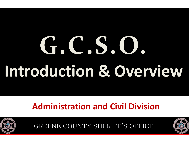# **G.C.S.O.Introduction & Overview**

#### **Administration and Civil Division**



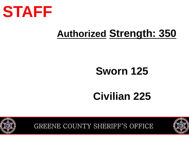

# **Authorized Strength: <sup>350</sup>**

### **Sworn 125**

### **Civilian 225**



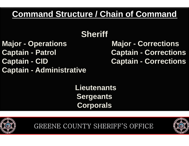#### **Command Structure / Chain of Command**

### **Sheriff**

- 
- **Captain - Patrol Captain**
- 
- **Captain - Administrative**

**Major - Operations Major - Corrections - Corrections Captain - CID Captain - Corrections**

> **Lieutenants SergeantsCorporals**



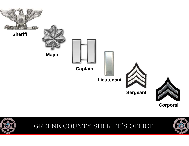

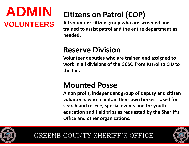### **ADMINVOLUNTEERS**

### **Citizens on Patrol (COP)**

**All volunteer citizen group who are screened and trained to assist patrol and the entire department as needed.** 

#### **Reserve Division**

 **Volunteer deputies who are trained and assigned to work in all divisions of the GCSO from Patrol to CID to the Jail.** 

#### **Mounted Posse**

 **A non profit, independent group of deputy and citizen volunteers who maintain their own horses. Used forsearch and rescue, special events and for youth education and field trips as requested by the Sheriff's Office and other organizations.** 



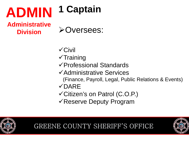#### **ADMIN1 Captain**

**Administrative Division**

Oversees:

- -Civil
- $\checkmark$ Training
- -Professional Standards
- -Administrative Services
	- (Finance, Payroll, Legal, Public Relations & Events)
- -DARE
- -Citizen's on Patrol (C.O.P.)
- -Reserve Deputy Program



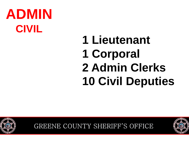# **1 Lieutenant1 Corporal 2 Admin Clerks 10 Civil Deputies**



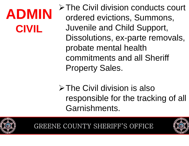> The Civil division conducts court ordered evictions, Summons,Juvenile and Child Support, Dissolutions, ex-parte removals, probate mental health commitments and all Sheriff Property Sales.

**≻The Civil division is also** responsible for the tracking of all Garnishments.



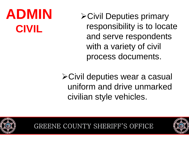**≻Civil Deputies primary** responsibility is to locate and serve respondents with a variety of civil process documents.

Civil deputies wear a casual uniform and drive unmarked civilian style vehicles.



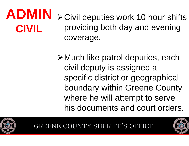#### **ADMINCIVIL≻Civil deputies work 10 hour shifts** providing both day and evening coverage.

Much like patrol deputies, each civil deputy is assigned a specific district or geographical boundary within Greene County where he will attempt to serve his documents and court orders.





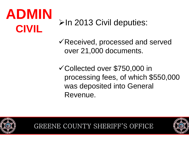$\triangleright$ In 2013 Civil deputies:

-Received, processed and served over 21,000 documents.

-Collected over \$750,000 in processing fees, of which \$550,000 was deposited into General Revenue.



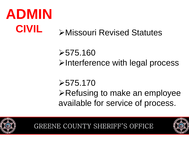#### **ADMINCIVILEXISSOUR Revised Statutes:**  $\triangleright$  Missouri Revised Statutes

 $>575.160$ **≻Interference with legal process** 

 $\geq 575.170$ 

**≻Refusing to make an employee** available for service of process.



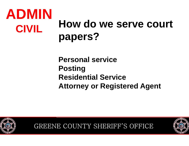### **ADMINCIVILHow do we serve court papers?**

**Personal service Posting Residential ServiceAttorney or Registered Agent**



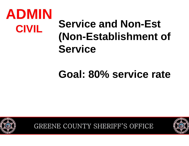# **Service and Non-Est (Non-Establishment of Service**

### **Goal: 80% service rate**